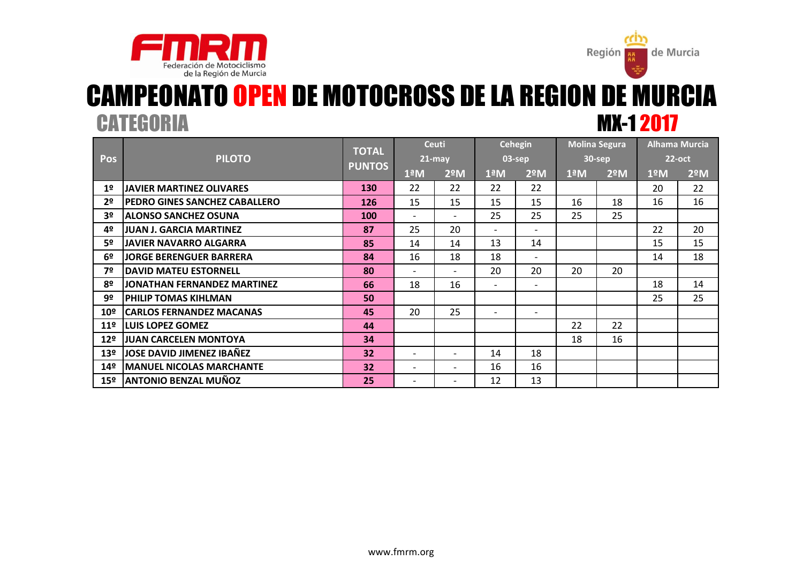



## CATEGORIA MX-1 2017 CAMPEONATO OPEN DE MOTOCROSS DE LA REGION DE MURCIA

|                 | <b>PILOTO</b>                        | <b>TOTAL</b>  | <b>Ceuti</b>             |                              | <b>Cehegin</b>           |                          | <b>Molina Segura</b>  |               | <b>Alhama Murcia</b> |                  |
|-----------------|--------------------------------------|---------------|--------------------------|------------------------------|--------------------------|--------------------------|-----------------------|---------------|----------------------|------------------|
| Pos             |                                      |               | $21 - may$               |                              | 03-sep                   |                          | 30-sep                |               | $22$ -oct            |                  |
|                 |                                      | <b>PUNTOS</b> | $1^{\underline{a}}M$     | $2^{\circ}$ M                | $1^{\underline{a}}$ M    | 2 <sup>°</sup> M         | $1^{\underline{a}}$ M | $2^{\circ}$ M | 1ºM                  | 2 <sup>°</sup> M |
| 1 <sup>°</sup>  | <b>JAVIER MARTINEZ OLIVARES</b>      | 130           | 22                       | 22                           | 22                       | 22                       |                       |               | 20                   | 22               |
| 2º              | <b>PEDRO GINES SANCHEZ CABALLERO</b> | 126           | 15                       | 15                           | 15                       | 15                       | 16                    | 18            | 16                   | 16               |
| 3º              | <b>ALONSO SANCHEZ OSUNA</b>          | <b>100</b>    | $\overline{\phantom{a}}$ | $\overline{\phantom{a}}$     | 25                       | 25                       | 25                    | 25            |                      |                  |
| 4º              | JUAN J. GARCIA MARTINEZ              | 87            | 25                       | 20                           | $\overline{\phantom{0}}$ | $\overline{\phantom{a}}$ |                       |               | 22                   | 20               |
| 5º              | <b>JAVIER NAVARRO ALGARRA</b>        | 85            | 14                       | 14                           | 13                       | 14                       |                       |               | 15                   | 15               |
| 6 <sup>°</sup>  | <b>JORGE BERENGUER BARRERA</b>       | 84            | 16                       | 18                           | 18                       | $\overline{\phantom{a}}$ |                       |               | 14                   | 18               |
| 7º              | <b>DAVID MATEU ESTORNELL</b>         | 80            | $\overline{\phantom{a}}$ | $\overline{\phantom{0}}$     | 20                       | 20                       | 20                    | 20            |                      |                  |
| 8º              | JONATHAN FERNANDEZ MARTINEZ          | 66            | 18                       | 16                           | $\overline{\phantom{a}}$ | $\overline{\phantom{a}}$ |                       |               | 18                   | 14               |
| 9º              | <b>PHILIP TOMAS KIHLMAN</b>          | 50            |                          |                              |                          |                          |                       |               | 25                   | 25               |
| 10 <sup>°</sup> | <b>CARLOS FERNANDEZ MACANAS</b>      | 45            | 20                       | 25                           | $\overline{\phantom{0}}$ | $\overline{\phantom{0}}$ |                       |               |                      |                  |
| 11 <sup>°</sup> | <b>LUIS LOPEZ GOMEZ</b>              | 44            |                          |                              |                          |                          | 22                    | 22            |                      |                  |
| 12 <sup>°</sup> | <b>JUAN CARCELEN MONTOYA</b>         | 34            |                          |                              |                          |                          | 18                    | 16            |                      |                  |
| 13 <sup>°</sup> | JOSE DAVID JIMENEZ IBAÑEZ            | 32            | $\overline{\phantom{a}}$ | $\qquad \qquad \blacksquare$ | 14                       | 18                       |                       |               |                      |                  |
| 14 <sup>°</sup> | <b>MANUEL NICOLAS MARCHANTE</b>      | 32            | $\overline{\phantom{a}}$ | $\qquad \qquad \blacksquare$ | 16                       | 16                       |                       |               |                      |                  |
| 15 <sup>°</sup> | <b>ANTONIO BENZAL MUÑOZ</b>          | 25            |                          | -                            | 12                       | 13                       |                       |               |                      |                  |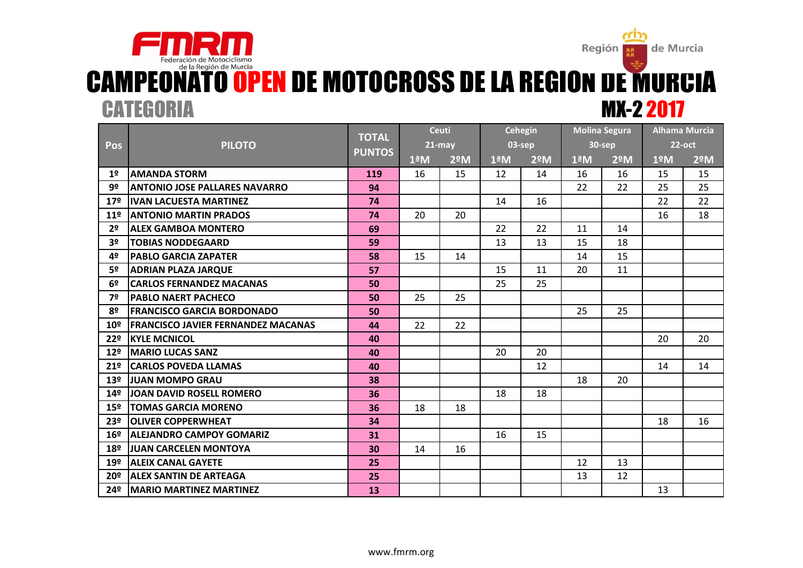### Región de Murcia ë₫. Federación de Motociclismo CAMPEONATO OPEN DE MOTOCROSS DE LA REGION DE MURCIA MX-2 2017 **CATEGORIA**

|                 |                                           | <b>TOTAL</b>  |                      | <b>Ceuti</b>  | Cehegin              |               | <b>Molina Segura</b> |               | <b>Alhama Murcia</b> |               |
|-----------------|-------------------------------------------|---------------|----------------------|---------------|----------------------|---------------|----------------------|---------------|----------------------|---------------|
| <b>Pos</b>      | <b>PILOTO</b>                             | <b>PUNTOS</b> | $21$ -may            |               |                      | 03-sep        | 30-sep               |               | $22$ -oct            |               |
|                 |                                           |               | $1^{\underline{a}}M$ | $2^{\circ}$ M | $1^{\underline{a}}M$ | $2^{\circ}$ M | $1^{\underline{a}}M$ | $2^{\circ}$ M | 1ºM                  | $2^{\circ}$ M |
| 1 <sup>°</sup>  | <b>AMANDA STORM</b>                       | 119           | 16                   | 15            | 12                   | 14            | 16                   | 16            | 15                   | 15            |
| 9º              | <b>ANTONIO JOSE PALLARES NAVARRO</b>      | 94            |                      |               |                      |               | 22                   | 22            | 25                   | 25            |
| 17 <sup>°</sup> | <b>IVAN LACUESTA MARTINEZ</b>             | 74            |                      |               | 14                   | 16            |                      |               | 22                   | 22            |
| 11 <sup>°</sup> | <b>ANTONIO MARTIN PRADOS</b>              | 74            | 20                   | 20            |                      |               |                      |               | 16                   | 18            |
| 2 <sup>o</sup>  | <b>ALEX GAMBOA MONTERO</b>                | 69            |                      |               | 22                   | 22            | 11                   | 14            |                      |               |
| 3 <sup>o</sup>  | <b>TOBIAS NODDEGAARD</b>                  | 59            |                      |               | 13                   | 13            | 15                   | 18            |                      |               |
| 4º              | <b>PABLO GARCIA ZAPATER</b>               | 58            | 15                   | 14            |                      |               | 14                   | 15            |                      |               |
| 5º              | <b>ADRIAN PLAZA JARQUE</b>                | 57            |                      |               | 15                   | 11            | 20                   | 11            |                      |               |
| 6 <sup>o</sup>  | <b>CARLOS FERNANDEZ MACANAS</b>           | 50            |                      |               | 25                   | 25            |                      |               |                      |               |
| 7º              | <b>PABLO NAERT PACHECO</b>                | 50            | 25                   | 25            |                      |               |                      |               |                      |               |
| 8º              | <b>FRANCISCO GARCIA BORDONADO</b>         | 50            |                      |               |                      |               | 25                   | 25            |                      |               |
| 10º             | <b>FRANCISCO JAVIER FERNANDEZ MACANAS</b> | 44            | 22                   | 22            |                      |               |                      |               |                      |               |
| 22º             | <b>KYLE MCNICOL</b>                       | 40            |                      |               |                      |               |                      |               | 20                   | 20            |
| 12 <sup>°</sup> | <b>MARIO LUCAS SANZ</b>                   | 40            |                      |               | 20                   | 20            |                      |               |                      |               |
| 21 <sup>°</sup> | <b>CARLOS POVEDA LLAMAS</b>               | 40            |                      |               |                      | 12            |                      |               | 14                   | 14            |
| 13 <sup>°</sup> | <b>JJUAN MOMPO GRAU</b>                   | 38            |                      |               |                      |               | 18                   | 20            |                      |               |
| 14º             | JOAN DAVID ROSELL ROMERO                  | 36            |                      |               | 18                   | 18            |                      |               |                      |               |
| 15 <sup>°</sup> | <b>TOMAS GARCIA MORENO</b>                | 36            | 18                   | 18            |                      |               |                      |               |                      |               |
| 23 <sup>°</sup> | <b>OLIVER COPPERWHEAT</b>                 | 34            |                      |               |                      |               |                      |               | 18                   | 16            |
| 16 <sup>°</sup> | <b>ALEJANDRO CAMPOY GOMARIZ</b>           | 31            |                      |               | 16                   | 15            |                      |               |                      |               |
| 18º             | <b>JJUAN CARCELEN MONTOYA</b>             | 30            | 14                   | 16            |                      |               |                      |               |                      |               |
| 19º             | <b>ALEIX CANAL GAYETE</b>                 | 25            |                      |               |                      |               | 12                   | 13            |                      |               |
| 20º             | <b>ALEX SANTIN DE ARTEAGA</b>             | 25            |                      |               |                      |               | 13                   | 12            |                      |               |
| 24º             | <b>MARIO MARTINEZ MARTINEZ</b>            | 13            |                      |               |                      |               |                      |               | 13                   |               |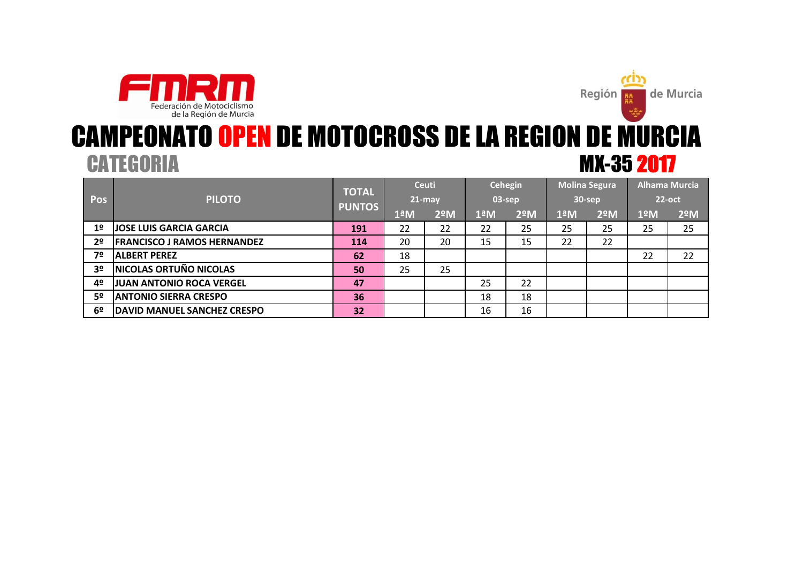



## CATEGORIA MX-35 2017 CAMPEONATO OPEN DE MOTOCROSS DE LA REGION DE MURCIA

|                |                                    | <b>TOTAL</b>  | Ceuti<br>$21$ -may |               | <b>Cehegin</b><br>03-sep |               | <b>Molina Segura</b><br>30-sep |               | <b>Alhama Murcia</b> |               |
|----------------|------------------------------------|---------------|--------------------|---------------|--------------------------|---------------|--------------------------------|---------------|----------------------|---------------|
| Pos            | <b>PILOTO</b>                      | <b>PUNTOS</b> |                    |               |                          |               |                                |               | $22$ -oct            |               |
|                |                                    |               | 1ªM                | $2^{\circ}$ M | $1^{\underline{a}}$ M    | $2^{\circ}$ M | $1^{\underline{a}}$ M          | $2^{\circ}$ M | 1ºM                  | $2^{\circ}$ M |
| 1 <sup>°</sup> | <b>JOSE LUIS GARCIA GARCIA</b>     | 191           | 22                 | 22            | 22                       | 25            | 25                             | 25            | 25                   | 25            |
| 2 <sup>o</sup> | <b>FRANCISCO J RAMOS HERNANDEZ</b> | 114           | 20                 | 20            | 15                       | 15            | 22                             | 22            |                      |               |
| 7º             | <b>ALBERT PEREZ</b>                | 62            | 18                 |               |                          |               |                                |               | 22                   | 22            |
| 3 <sup>o</sup> | <b>NICOLAS ORTUÑO NICOLAS</b>      | 50            | 25                 | 25            |                          |               |                                |               |                      |               |
| 4º             | JUAN ANTONIO ROCA VERGEL           | 47            |                    |               | 25                       | 22            |                                |               |                      |               |
| 5º             | <b>ANTONIO SIERRA CRESPO</b>       | 36            |                    |               | 18                       | 18            |                                |               |                      |               |
| 6º             | <b>DAVID MANUEL SANCHEZ CRESPO</b> | 32            |                    |               | 16                       | 16            |                                |               |                      |               |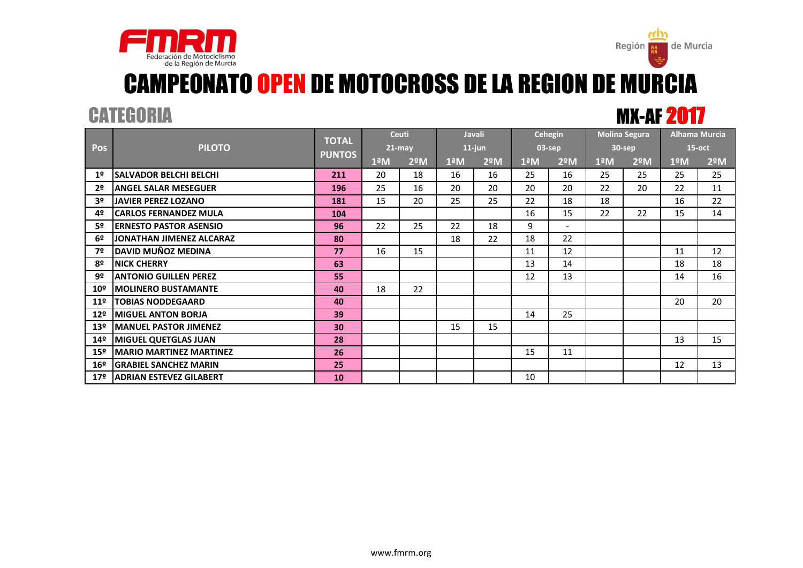

# CAMPEONATO OPEN DE MOTOCROSS DE LA REGION DE MURCIA

CATEGORIA MX-AF 2017

de Murcia

Región

|                 | <b>PILOTO</b>                   |                               |                          | <b>Ceuti</b>     | Javali                   |               | <b>Cehegin</b>        |               | <b>Molina Segura</b> |               | <b>Alhama Murcia</b> |               |
|-----------------|---------------------------------|-------------------------------|--------------------------|------------------|--------------------------|---------------|-----------------------|---------------|----------------------|---------------|----------------------|---------------|
| <b>Pos</b>      |                                 | <b>TOTAL</b><br><b>PUNTOS</b> |                          | $21 - may$       | $11$ -jun                |               | $03$ -sep             |               | 30-sep               |               | $15$ -oct            |               |
|                 |                                 |                               | $1^{\circ}$ <sub>M</sub> | 2 <sup>°</sup> M | $1^{\circ}$ <sub>M</sub> | $2^{\circ}$ M | $1^{\underline{a}}$ M | $2^{\circ}$ M | $1^{\underline{a}}M$ | $2^{\circ}$ M | 1ºM                  | $2^{\circ}$ M |
| 1 <sup>°</sup>  | <b>ISALVADOR BELCHI BELCHI</b>  | 211                           | 20                       | 18               | 16                       | 16            | 25                    | 16            | 25                   | 25            | 25                   | 25            |
| 2 <sup>o</sup>  | <b>ANGEL SALAR MESEGUER</b>     | 196                           | 25                       | 16               | 20                       | 20            | 20                    | 20            | 22                   | 20            | 22                   | 11            |
| 3 <sup>o</sup>  | <b>JAVIER PEREZ LOZANO</b>      | 181                           | 15                       | 20               | 25                       | 25            | 22                    | 18            | 18                   |               | 16                   | 22            |
| 4º              | <b>ICARLOS FERNANDEZ MULA</b>   | 104                           |                          |                  |                          |               | 16                    | 15            | 22                   | 22            | 15                   | 14            |
| 5º              | <b>ERNESTO PASTOR ASENSIO</b>   | 96                            | 22                       | 25               | 22                       | 18            | 9                     |               |                      |               |                      |               |
| 6º              | JONATHAN JIMENEZ ALCARAZ        | 80                            |                          |                  | 18                       | 22            | 18                    | 22            |                      |               |                      |               |
| 7º              | DAVID MUÑOZ MEDINA              | 77                            | 16                       | 15               |                          |               | 11                    | 12            |                      |               | 11                   | 12            |
| 8º              | <b>NICK CHERRY</b>              | 63                            |                          |                  |                          |               | 13                    | 14            |                      |               | 18                   | 18            |
| 9º              | <b>ANTONIO GUILLEN PEREZ</b>    | 55                            |                          |                  |                          |               | 12                    | 13            |                      |               | 14                   | 16            |
| 10 <sup>°</sup> | <b>MOLINERO BUSTAMANTE</b>      | 40                            | 18                       | 22               |                          |               |                       |               |                      |               |                      |               |
| 11 <sup>°</sup> | <b>TOBIAS NODDEGAARD</b>        | 40                            |                          |                  |                          |               |                       |               |                      |               | 20                   | 20            |
| 12 <sup>°</sup> | <b>MIGUEL ANTON BORJA</b>       | 39                            |                          |                  |                          |               | 14                    | 25            |                      |               |                      |               |
| 13 <sup>°</sup> | <b>IMANUEL PASTOR JIMENEZ</b>   | 30                            |                          |                  | 15                       | 15            |                       |               |                      |               |                      |               |
| 14 <sup>°</sup> | <b>MIGUEL QUETGLAS JUAN</b>     | 28                            |                          |                  |                          |               |                       |               |                      |               | 13                   | 15            |
| 15 <sup>°</sup> | <b>IMARIO MARTINEZ MARTINEZ</b> | 26                            |                          |                  |                          |               | 15                    | 11            |                      |               |                      |               |
| 16 <sup>°</sup> | <b>GRABIEL SANCHEZ MARIN</b>    | 25                            |                          |                  |                          |               |                       |               |                      |               | 12                   | 13            |
| 17 <sup>°</sup> | <b>ADRIAN ESTEVEZ GILABERT</b>  | 10                            |                          |                  |                          |               | 10                    |               |                      |               |                      |               |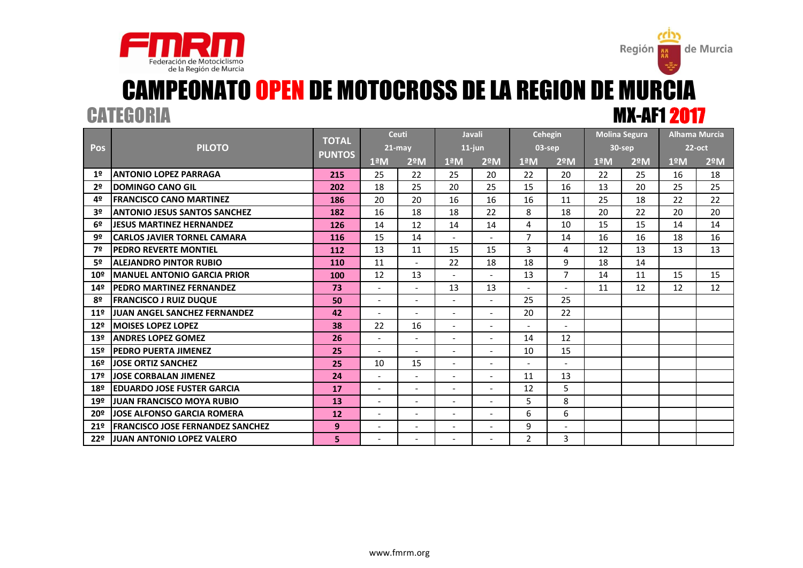



de Murcia

Región

|                 |                                          | <b>TOTAL</b>  |                          | <b>Ceuti</b>             |                          | <b>Javali</b>            | Cehegin              |                          | <b>Molina Segura</b> |                  | <b>Alhama Murcia</b> |               |
|-----------------|------------------------------------------|---------------|--------------------------|--------------------------|--------------------------|--------------------------|----------------------|--------------------------|----------------------|------------------|----------------------|---------------|
| <b>Pos</b>      | <b>PILOTO</b>                            | <b>PUNTOS</b> | $21$ -may                |                          |                          | $11$ -jun                | 03-sep               |                          | 30-sep               |                  | $22$ -oct            |               |
|                 |                                          |               | $1^{\underline{a}}M$     | $2^{\circ}$ M            | $1^{\underline{a}}$ M    | $2^{\circ}$ M            | $1^{\underline{a}}M$ | 2 <sup>°</sup> M         | 1 <sup>a</sup> M     | 2 <sup>°</sup> M | 1 <sup>°</sup> M     | $2^{\circ}$ M |
| 1 <sup>2</sup>  | <b>ANTONIO LOPEZ PARRAGA</b>             | 215           | 25                       | 22                       | 25                       | 20                       | 22                   | 20                       | 22                   | 25               | 16                   | 18            |
| 2 <sup>o</sup>  | <b>DOMINGO CANO GIL</b>                  | 202           | 18                       | 25                       | 20                       | 25                       | 15                   | 16                       | 13                   | 20               | 25                   | 25            |
| 4º              | <b>FRANCISCO CANO MARTINEZ</b>           | 186           | 20                       | 20                       | 16                       | 16                       | 16                   | 11                       | 25                   | 18               | 22                   | 22            |
| 3º              | <b>ANTONIO JESUS SANTOS SANCHEZ</b>      | 182           | 16                       | 18                       | 18                       | 22                       | 8                    | 18                       | 20                   | 22               | 20                   | 20            |
| 6º              | <b>JESUS MARTINEZ HERNANDEZ</b>          | 126           | 14                       | 12                       | 14                       | 14                       | 4                    | 10                       | 15                   | 15               | 14                   | 14            |
| 92              | <b>CARLOS JAVIER TORNEL CAMARA</b>       | 116           | 15                       | 14                       | $\overline{a}$           | $\overline{\phantom{0}}$ | $\overline{7}$       | 14                       | 16                   | 16               | 18                   | 16            |
| 7º              | <b>PEDRO REVERTE MONTIEL</b>             | 112           | 13                       | 11                       | 15                       | 15                       | 3                    | 4                        | 12                   | 13               | 13                   | 13            |
| 52              | <b>ALEJANDRO PINTOR RUBIO</b>            | 110           | 11                       | $\mathbf{r}$             | 22                       | 18                       | 18                   | 9                        | 18                   | 14               |                      |               |
| 10 <sup>°</sup> | <b>MANUEL ANTONIO GARCIA PRIOR</b>       | 100           | 12                       | 13                       | $\overline{\phantom{a}}$ | $\overline{\phantom{a}}$ | 13                   | $\overline{7}$           | 14                   | 11               | 15                   | 15            |
| 14º             | PEDRO MARTINEZ FERNANDEZ                 | 73            | $\overline{a}$           | $\blacksquare$           | 13                       | 13                       | $\overline{a}$       | $\overline{a}$           | 11                   | 12               | 12                   | 12            |
| 8º              | <b>FRANCISCO J RUIZ DUQUE</b>            | 50            | $\overline{\phantom{a}}$ | $\blacksquare$           | $\overline{\phantom{a}}$ | $\overline{\phantom{0}}$ | 25                   | 25                       |                      |                  |                      |               |
| 11 <sup>°</sup> | JUAN ANGEL SANCHEZ FERNANDEZ             | 42            | $\blacksquare$           | $\overline{\phantom{a}}$ | $\overline{\phantom{a}}$ | $\overline{a}$           | 20                   | 22                       |                      |                  |                      |               |
| 12 <sup>°</sup> | <b>MOISES LOPEZ LOPEZ</b>                | 38            | 22                       | 16                       | $\overline{\phantom{a}}$ | $\overline{\phantom{0}}$ | $\sim$               | $\overline{\phantom{a}}$ |                      |                  |                      |               |
| 13 <sup>°</sup> | <b>ANDRES LOPEZ GOMEZ</b>                | 26            | $\overline{\phantom{a}}$ | $\overline{\phantom{a}}$ |                          | $\overline{a}$           | 14                   | 12                       |                      |                  |                      |               |
| 15 <sup>°</sup> | <b>PEDRO PUERTA JIMENEZ</b>              | 25            | $\overline{\phantom{a}}$ | $\overline{a}$           | $\blacksquare$           | $\overline{a}$           | 10                   | 15                       |                      |                  |                      |               |
| 16 <sup>°</sup> | <b>JOSE ORTIZ SANCHEZ</b>                | 25            | 10                       | 15                       | $\blacksquare$           | $\overline{a}$           | $\overline{a}$       | $\overline{a}$           |                      |                  |                      |               |
| 17 <sup>°</sup> | <b>JOSE CORBALAN JIMENEZ</b>             | 24            | $\overline{\phantom{a}}$ | $\overline{\phantom{a}}$ | $\blacksquare$           | $\overline{\phantom{0}}$ | 11                   | 13                       |                      |                  |                      |               |
| 18º             | <b>EDUARDO JOSE FUSTER GARCIA</b>        | 17            | $\overline{\phantom{a}}$ | $\overline{\phantom{a}}$ | $\blacksquare$           | $\overline{a}$           | 12                   | 5                        |                      |                  |                      |               |
| 19º             | <b>JUAN FRANCISCO MOYA RUBIO</b>         | 13            | $\overline{\phantom{a}}$ | $\overline{\phantom{a}}$ | $\overline{\phantom{a}}$ | $\overline{\phantom{0}}$ | 5                    | 8                        |                      |                  |                      |               |
| 20º             | <b>JOSE ALFONSO GARCIA ROMERA</b>        | 12            | $\overline{\phantom{a}}$ | $\overline{\phantom{a}}$ | $\overline{\phantom{a}}$ | $\overline{a}$           | 6                    | 6                        |                      |                  |                      |               |
| 21 <sup>°</sup> | <b>IFRANCISCO JOSE FERNANDEZ SANCHEZ</b> | 9             |                          | $\overline{\phantom{a}}$ | $\overline{\phantom{a}}$ | $\overline{\phantom{m}}$ | 9                    | $\overline{\phantom{a}}$ |                      |                  |                      |               |
| 22 <sup>°</sup> | <b>JUAN ANTONIO LOPEZ VALERO</b>         | 5             |                          |                          |                          |                          | $\overline{2}$       | 3                        |                      |                  |                      |               |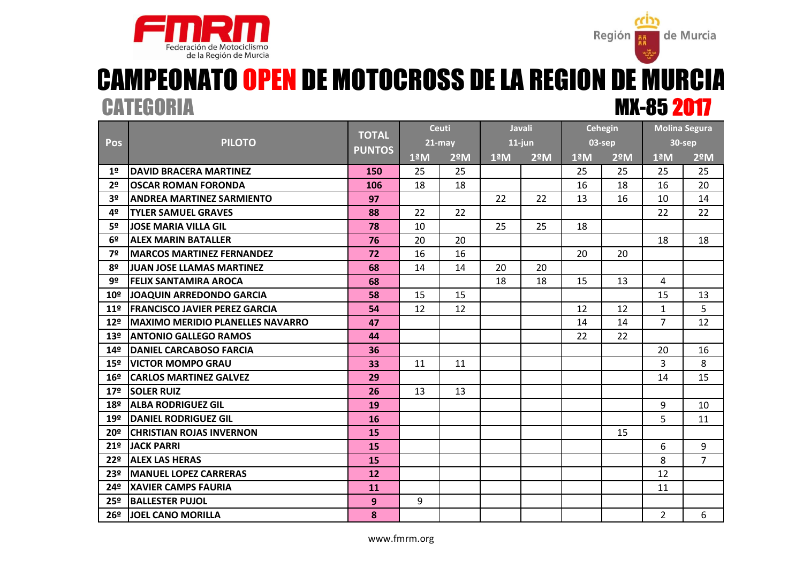



## MX-85 2017 CAMPEONATO OPEN DE MOTOCROSS DE LA REGION DE MURCIA **CATEGORIA**

|                 |                                          | <b>TOTAL</b>  |                  | <b>Ceuti</b>     | <b>Javali</b>    |                  | <b>Cehegin</b>       |                  | <b>Molina Segura</b> |                |
|-----------------|------------------------------------------|---------------|------------------|------------------|------------------|------------------|----------------------|------------------|----------------------|----------------|
| Pos             | <b>PILOTO</b>                            |               |                  | 21-may           | $11$ -jun        |                  | 03-sep               |                  | <b>30-sep</b>        |                |
|                 |                                          | <b>PUNTOS</b> | 1 <sup>a</sup> M | 2 <sup>°</sup> M | 1 <sup>a</sup> M | 2 <sup>°</sup> M | $1^{\underline{a}}M$ | 2 <sup>o</sup> M | 1 <sup>a</sup> M     | $2^{\circ}$ M  |
| 1 <sup>°</sup>  | <b>IDAVID BRACERA MARTINEZ</b>           | 150           | 25               | 25               |                  |                  | 25                   | 25               | 25                   | 25             |
| 2 <sup>o</sup>  | <b>OSCAR ROMAN FORONDA</b>               | 106           | 18               | 18               |                  |                  | 16                   | 18               | 16                   | 20             |
| 3 <sup>o</sup>  | <b>ANDREA MARTINEZ SARMIENTO</b>         | 97            |                  |                  | 22               | 22               | 13                   | 16               | 10                   | 14             |
| 4º              | <b>TYLER SAMUEL GRAVES</b>               | 88            | 22               | 22               |                  |                  |                      |                  | 22                   | 22             |
| 5º              | <b>JOSE MARIA VILLA GIL</b>              | 78            | 10               |                  | 25               | 25               | 18                   |                  |                      |                |
| 6º              | <b>ALEX MARIN BATALLER</b>               | 76            | 20               | 20               |                  |                  |                      |                  | 18                   | 18             |
| 7º              | <b>MARCOS MARTINEZ FERNANDEZ</b>         | 72            | 16               | 16               |                  |                  | 20                   | 20               |                      |                |
| 8º              | <b>JJUAN JOSE LLAMAS MARTINEZ</b>        | 68            | 14               | 14               | 20               | 20               |                      |                  |                      |                |
| 9º              | <b>FELIX SANTAMIRA AROCA</b>             | 68            |                  |                  | 18               | 18               | 15                   | 13               | 4                    |                |
| 10 <sup>°</sup> | JOAQUIN ARREDONDO GARCIA                 | 58            | 15               | 15               |                  |                  |                      |                  | 15                   | 13             |
| 11 <sup>°</sup> | <b>FRANCISCO JAVIER PEREZ GARCIA</b>     | 54            | 12               | 12               |                  |                  | 12                   | 12               | $\mathbf{1}$         | 5              |
| 12 <sup>°</sup> | <b>IMAXIMO MERIDIO PLANELLES NAVARRO</b> | 47            |                  |                  |                  |                  | 14                   | 14               | $\overline{7}$       | 12             |
| 13 <sup>°</sup> | <b>JANTONIO GALLEGO RAMOS</b>            | 44            |                  |                  |                  |                  | 22                   | 22               |                      |                |
| 14 <sup>°</sup> | <b>DANIEL CARCABOSO FARCIA</b>           | 36            |                  |                  |                  |                  |                      |                  | 20                   | 16             |
| 15 <sup>°</sup> | <b>VICTOR MOMPO GRAU</b>                 | 33            | 11               | 11               |                  |                  |                      |                  | 3                    | 8              |
| 16 <sup>°</sup> | <b>CARLOS MARTINEZ GALVEZ</b>            | 29            |                  |                  |                  |                  |                      |                  | 14                   | 15             |
| 17 <sup>°</sup> | <b>SOLER RUIZ</b>                        | 26            | 13               | 13               |                  |                  |                      |                  |                      |                |
| 18º             | <b>ALBA RODRIGUEZ GIL</b>                | 19            |                  |                  |                  |                  |                      |                  | 9                    | 10             |
| 19º             | DANIEL RODRIGUEZ GIL                     | 16            |                  |                  |                  |                  |                      |                  | 5                    | 11             |
| 20º             | <b>ICHRISTIAN ROJAS INVERNON</b>         | <b>15</b>     |                  |                  |                  |                  |                      | 15               |                      |                |
| 21 <sup>°</sup> | <b>JACK PARRI</b>                        | 15            |                  |                  |                  |                  |                      |                  | 6                    | 9              |
| 22º             | <b>ALEX LAS HERAS</b>                    | 15            |                  |                  |                  |                  |                      |                  | 8                    | $\overline{7}$ |
| 23º             | <b>MANUEL LOPEZ CARRERAS</b>             | 12            |                  |                  |                  |                  |                      |                  | 12                   |                |
| 24º             | <b>XAVIER CAMPS FAURIA</b>               | 11            |                  |                  |                  |                  |                      |                  | 11                   |                |
| 25 <sup>°</sup> | <b>BALLESTER PUJOL</b>                   | 9             | 9                |                  |                  |                  |                      |                  |                      |                |
| 26 <sup>°</sup> | <b>JJOEL CANO MORILLA</b>                | 8             |                  |                  |                  |                  |                      |                  | $\overline{2}$       | 6              |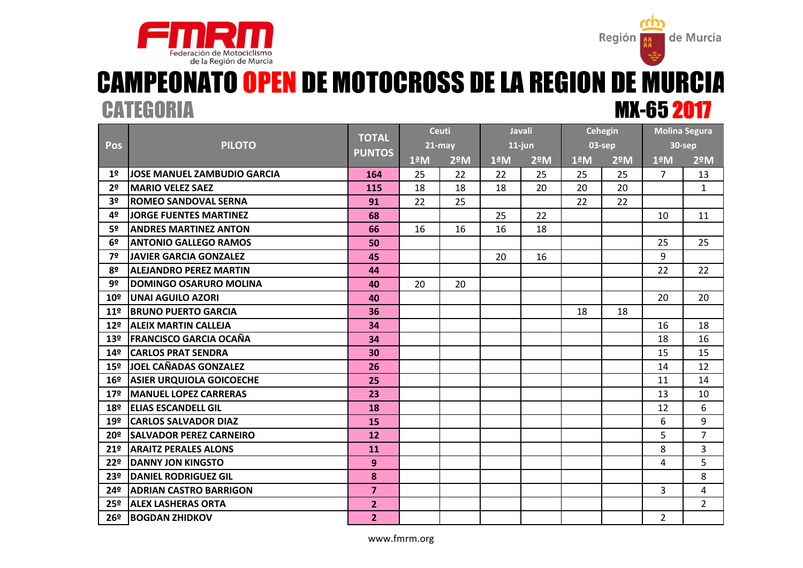



### MX-65 2017 CAMPEONATO OPEN DE MOTOCROSS DE LA REGION DE MURCIA **CATEGORIA**

|                 |                                 | <b>TOTAL</b><br><b>PUNTOS</b> | <b>Ceuti</b>     |               | <b>Javali</b>        |               | <b>Cehegin</b>       |               | <b>Molina Segura</b> |                |
|-----------------|---------------------------------|-------------------------------|------------------|---------------|----------------------|---------------|----------------------|---------------|----------------------|----------------|
| Pos             | <b>PILOTO</b>                   |                               |                  | $21 - may$    | $11$ -jun            |               | 03-sep               |               |                      | 30-sep         |
|                 |                                 |                               | 1 <sup>a</sup> M | $2^{\circ}$ M | $1^{\underline{a}}M$ | $2^{\circ}$ M | $1^{\underline{a}}M$ | $2^{\circ}$ M | 1 <sup>a</sup> M     | $2^{\circ}$ M  |
| 1 <sup>°</sup>  | JOSE MANUEL ZAMBUDIO GARCIA     | 164                           | 25               | 22            | 22                   | 25            | 25                   | 25            | 7                    | 13             |
| 2 <sup>o</sup>  | <b>MARIO VELEZ SAEZ</b>         | 115                           | 18               | 18            | 18                   | 20            | 20                   | 20            |                      | $\mathbf{1}$   |
| 3 <sup>o</sup>  | <b>ROMEO SANDOVAL SERNA</b>     | 91                            | 22               | 25            |                      |               | 22                   | 22            |                      |                |
| 4º              | JORGE FUENTES MARTINEZ          | 68                            |                  |               | 25                   | 22            |                      |               | 10                   | 11             |
| 5º              | <b>ANDRES MARTINEZ ANTON</b>    | 66                            | 16               | 16            | 16                   | 18            |                      |               |                      |                |
| 6º              | <b>ANTONIO GALLEGO RAMOS</b>    | 50                            |                  |               |                      |               |                      |               | 25                   | 25             |
| 7º              | <b>JAVIER GARCIA GONZALEZ</b>   | 45                            |                  |               | 20                   | 16            |                      |               | 9                    |                |
| 8º              | <b>ALEJANDRO PEREZ MARTIN</b>   | 44                            |                  |               |                      |               |                      |               | 22                   | 22             |
| 9º              | <b>DOMINGO OSARURO MOLINA</b>   | 40                            | 20               | 20            |                      |               |                      |               |                      |                |
| 10 <sup>°</sup> | lUNAI AGUILO AZORI              | 40                            |                  |               |                      |               |                      |               | 20                   | 20             |
| 11 <sup>°</sup> | <b>BRUNO PUERTO GARCIA</b>      | 36                            |                  |               |                      |               | 18                   | 18            |                      |                |
| 12 <sup>°</sup> | <b>ALEIX MARTIN CALLEJA</b>     | 34                            |                  |               |                      |               |                      |               | 16                   | 18             |
| 13 <sup>°</sup> | <b>IFRANCISCO GARCIA OCAÑA</b>  | 34                            |                  |               |                      |               |                      |               | 18                   | 16             |
| 14 <sup>°</sup> | <b>CARLOS PRAT SENDRA</b>       | 30                            |                  |               |                      |               |                      |               | 15                   | 15             |
| 15 <sup>°</sup> | <b>JOEL CAÑADAS GONZALEZ</b>    | 26                            |                  |               |                      |               |                      |               | 14                   | 12             |
| 16 <sup>°</sup> | <b>ASIER URQUIOLA GOICOECHE</b> | 25                            |                  |               |                      |               |                      |               | 11                   | 14             |
| 17 <sup>°</sup> | <b>MANUEL LOPEZ CARRERAS</b>    | 23                            |                  |               |                      |               |                      |               | 13                   | 10             |
| 18º             | <b>ELIAS ESCANDELL GIL</b>      | 18                            |                  |               |                      |               |                      |               | 12                   | 6              |
| 19º             | <b>CARLOS SALVADOR DIAZ</b>     | 15                            |                  |               |                      |               |                      |               | 6                    | 9              |
| 20 <sup>°</sup> | <b>SALVADOR PEREZ CARNEIRO</b>  | 12                            |                  |               |                      |               |                      |               | 5                    | $\overline{7}$ |
| 21 <sup>°</sup> | <b>ARAITZ PERALES ALONS</b>     | 11                            |                  |               |                      |               |                      |               | 8                    | 3              |
| 22 <sup>°</sup> | <b>DANNY JON KINGSTO</b>        | 9                             |                  |               |                      |               |                      |               | 4                    | 5              |
| 23º             | <b>DANIEL RODRIGUEZ GIL</b>     | 8                             |                  |               |                      |               |                      |               |                      | 8              |
| 24º             | <b>ADRIAN CASTRO BARRIGON</b>   | $\overline{\mathbf{z}}$       |                  |               |                      |               |                      |               | $\overline{3}$       | 4              |
| 25 <sup>°</sup> | <b>ALEX LASHERAS ORTA</b>       | $\overline{2}$                |                  |               |                      |               |                      |               |                      | $\overline{2}$ |
| 26º             | <b>BOGDAN ZHIDKOV</b>           | $\overline{2}$                |                  |               |                      |               |                      |               | $\overline{2}$       |                |

www.fmrm.org